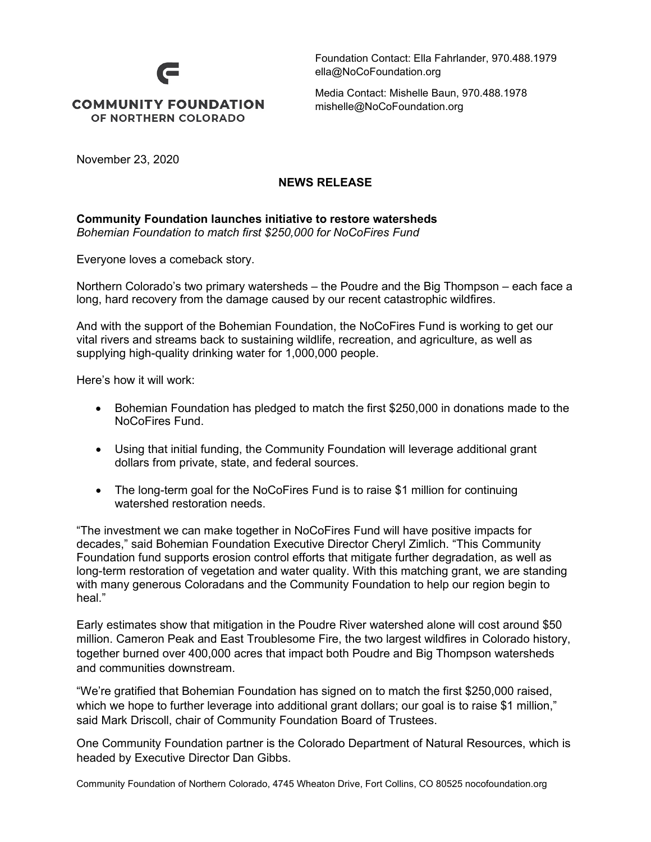## **COMMUNITY FOUNDATION** OF NORTHERN COLORADO

Foundation Contact: Ella Fahrlander, 970.488.1979 ella@NoCoFoundation.org

Media Contact: Mishelle Baun, 970.488.1978 [mishelle@NoCoFoundation.org](mailto:mishelle@NoCoFoundation.org)

November 23, 2020

## **NEWS RELEASE**

## **Community Foundation launches initiative to restore watersheds** *Bohemian Foundation to match first \$250,000 for NoCoFires Fund*

Everyone loves a comeback story.

Northern Colorado's two primary watersheds – the Poudre and the Big Thompson – each face a long, hard recovery from the damage caused by our recent catastrophic wildfires.

And with the support of the Bohemian Foundation, the NoCoFires Fund is working to get our vital rivers and streams back to sustaining wildlife, recreation, and agriculture, as well as supplying high-quality drinking water for 1,000,000 people.

Here's how it will work:

- Bohemian Foundation has pledged to match the first \$250,000 in donations made to the NoCoFires Fund.
- Using that initial funding, the Community Foundation will leverage additional grant dollars from private, state, and federal sources.
- The long-term goal for the NoCoFires Fund is to raise \$1 million for continuing watershed restoration needs.

"The investment we can make together in NoCoFires Fund will have positive impacts for decades," said Bohemian Foundation Executive Director Cheryl Zimlich. "This Community Foundation fund supports erosion control efforts that mitigate further degradation, as well as long-term restoration of vegetation and water quality. With this matching grant, we are standing with many generous Coloradans and the Community Foundation to help our region begin to heal."

Early estimates show that mitigation in the Poudre River watershed alone will cost around \$50 million. Cameron Peak and East Troublesome Fire, the two largest wildfires in Colorado history, together burned over 400,000 acres that impact both Poudre and Big Thompson watersheds and communities downstream.

"We're gratified that Bohemian Foundation has signed on to match the first \$250,000 raised, which we hope to further leverage into additional grant dollars; our goal is to raise \$1 million," said Mark Driscoll, chair of Community Foundation Board of Trustees.

One Community Foundation partner is the Colorado Department of Natural Resources, which is headed by Executive Director Dan Gibbs.

Community Foundation of Northern Colorado, 4745 Wheaton Drive, Fort Collins, CO 80525 nocofoundation.org